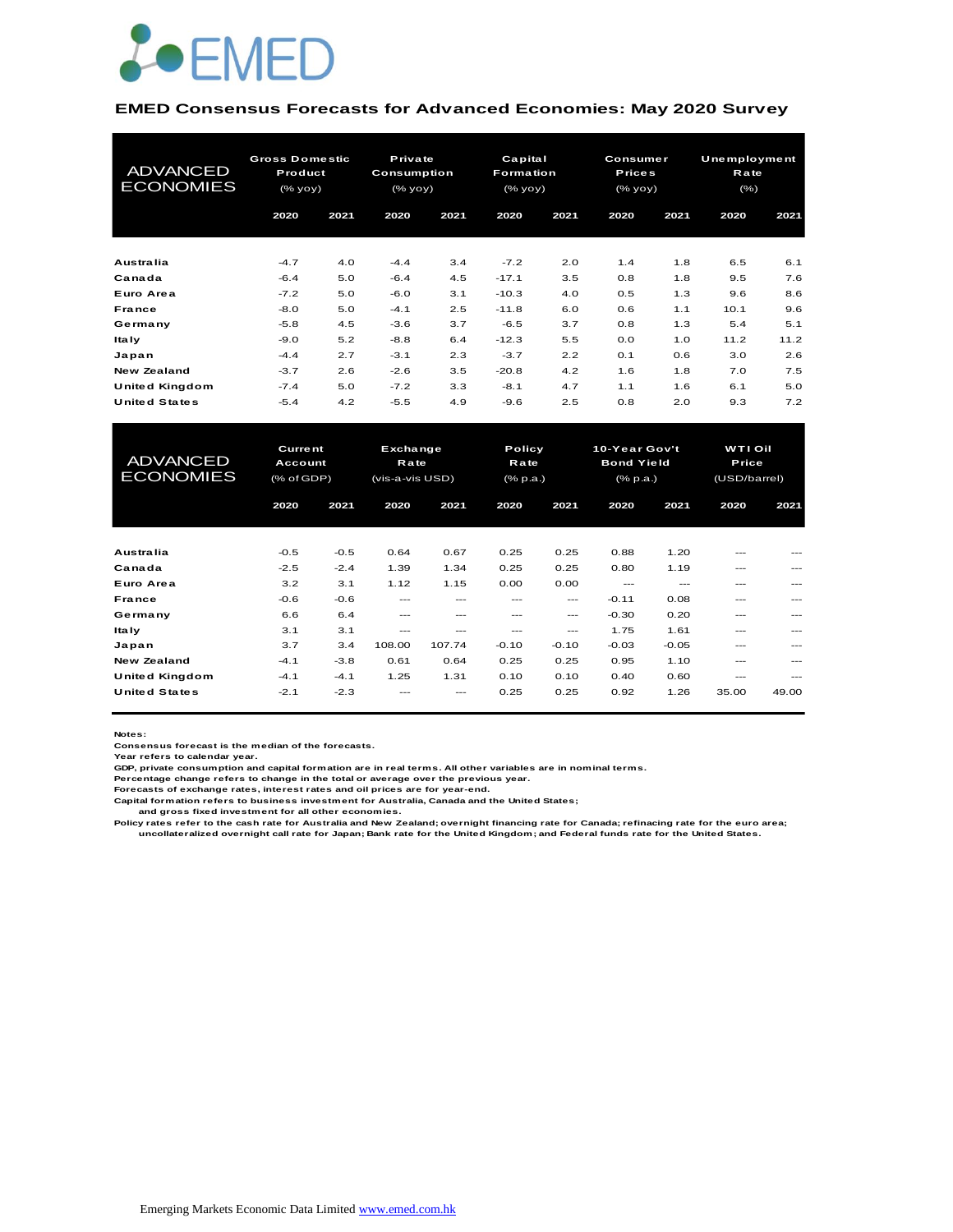

#### **EMED Consensus Forecasts for Advanced Economies: May 2020 Survey**

| <b>ADVANCED</b><br><b>ECONOMIES</b> |        | <b>Gross Domestic</b><br>Product<br>(% |        | Private<br>Consumption<br>$(\%$ yoy $)$ | Capital<br><b>Formation</b><br>(% |      |      | <b>Consumer</b><br><b>Prices</b><br>(% yoy) |      | Unemployment<br>Rate<br>(% ) |
|-------------------------------------|--------|----------------------------------------|--------|-----------------------------------------|-----------------------------------|------|------|---------------------------------------------|------|------------------------------|
|                                     | 2020   | 2021                                   | 2020   | 2021                                    | 2020                              | 2021 | 2020 | 2021                                        | 2020 | 2021                         |
| Australia                           | $-4.7$ | 4.0                                    | $-4.4$ | 3.4                                     | $-7.2$                            | 2.0  | 1.4  | 1.8                                         | 6.5  | 6.1                          |
| Canada                              | $-6.4$ | 5.0                                    | $-6.4$ | 4.5                                     | $-17.1$                           | 3.5  | 0.8  | 1.8                                         | 9.5  | 7.6                          |
| Euro Area                           | $-7.2$ | 5.0                                    | $-6.0$ | 3.1                                     | $-10.3$                           | 4.0  | 0.5  | 1.3                                         | 9.6  | 8.6                          |
| France                              | $-8.0$ | 5.0                                    | $-4.1$ | 2.5                                     | $-11.8$                           | 6.0  | 0.6  | 1.1                                         | 10.1 | 9.6                          |
| Germany                             | $-5.8$ | 4.5                                    | $-3.6$ | 3.7                                     | $-6.5$                            | 3.7  | 0.8  | 1.3                                         | 5.4  | 5.1                          |
| ltaly                               | $-9.0$ | 5.2                                    | $-8.8$ | 6.4                                     | $-12.3$                           | 5.5  | 0.0  | 1.0                                         | 11.2 | 11.2                         |
| Japan                               | $-4.4$ | 2.7                                    | $-3.1$ | 2.3                                     | $-3.7$                            | 2.2  | 0.1  | 0.6                                         | 3.0  | 2.6                          |
| New Zealand                         | $-3.7$ | 2.6                                    | $-2.6$ | 3.5                                     | $-20.8$                           | 4.2  | 1.6  | 1.8                                         | 7.0  | 7.5                          |
| United Kingdom                      | $-7.4$ | 5.0                                    | $-7.2$ | 3.3                                     | $-8.1$                            | 4.7  | 1.1  | 1.6                                         | 6.1  | 5.0                          |
| <b>United States</b>                | $-5.4$ | 4.2                                    | $-5.5$ | 4.9                                     | -9.6                              | 2.5  | 0.8  | 2.0                                         | 9.3  | 7.2                          |

| United Kingdom        | $-7.4$         | 5.0    | $-7.2$          | 3.3    | $-8.1$          | 4.7     | 1.1               | 1.6     | 6.1            | 5.0   |
|-----------------------|----------------|--------|-----------------|--------|-----------------|---------|-------------------|---------|----------------|-------|
| <b>United States</b>  | $-5.4$         | 4.2    | $-5.5$          | 4.9    | $-9.6$          | 2.5     | 0.8               | 2.0     | 9.3            | 7.2   |
|                       |                |        |                 |        |                 |         |                   |         |                |       |
|                       |                |        |                 |        |                 |         |                   |         |                |       |
| <b>ADVANCED</b>       | <b>Current</b> |        | Exchange        |        | Policy          |         | 10-Year Gov't     |         | <b>WTI Oil</b> |       |
|                       | Account        |        | <b>Rate</b>     |        | Rate            |         | <b>Bond Yield</b> |         | Price          |       |
| <b>ECONOMIES</b>      | $(%$ of GDP)   |        | (vis-a-vis USD) |        | $(%$ $(% p.a.)$ |         | (% p.a.)          |         | (USD/barrel)   |       |
|                       | 2020           | 2021   | 2020            | 2021   | 2020            | 2021    | 2020              | 2021    | 2020           | 2021  |
|                       |                |        |                 |        |                 |         |                   |         |                |       |
|                       |                |        |                 |        |                 |         |                   |         |                |       |
| Australia             | $-0.5$         | $-0.5$ | 0.64            | 0.67   | 0.25            | 0.25    | 0.88              | 1.20    |                |       |
| Canada                | $-2.5$         | $-2.4$ | 1.39            | 1.34   | 0.25            | 0.25    | 0.80              | 1.19    |                |       |
| Euro Area             | 3.2            | 3.1    | 1.12            | 1.15   | 0.00            | 0.00    | $---$             | $---$   | ---            |       |
| <b>France</b>         | $-0.6$         | $-0.6$ | ---             | ---    | ---             | $---$   | $-0.11$           | 0.08    | ---            |       |
| Germany               | 6.6            | 6.4    | $- - -$         | ---    | ---             | ---     | $-0.30$           | 0.20    | ---            | $---$ |
| <b>Italy</b>          | 3.1            | 3.1    | ---             | ---    | ---             | ---     | 1.75              | 1.61    | ---            |       |
| Japan                 | 3.7            | 3.4    | 108.00          | 107.74 | $-0.10$         | $-0.10$ | $-0.03$           | $-0.05$ | $---$          |       |
| <b>New Zealand</b>    | $-4.1$         | $-3.8$ | 0.61            | 0.64   | 0.25            | 0.25    | 0.95              | 1.10    | ---            |       |
| <b>United Kingdom</b> | $-4.1$         | $-4.1$ | 1.25            | 1.31   | 0.10            | 0.10    | 0.40              | 0.60    | ---            | ---   |
| <b>United States</b>  | $-2.1$         | $-2.3$ |                 |        | 0.25            | 0.25    | 0.92              | 1.26    | 35.00          | 49.00 |
|                       |                |        |                 |        |                 |         |                   |         |                |       |

**Notes:** 

**Consensus forecast is the median of the forecasts. Year refers to calendar year.**

**GDP, private consumption and capital formation are in real terms. All other variables are in nominal terms.**

**Percentage change refers to change in the total or average over the previous year. Forecasts of exchange rates, interest rates and oil prices are for year-end.**

**Capital formation refers to business investment for Australia, Canada and the United States;**

 **and gross fixed investment for all other economies.**

Policy rates refer to the cash rate for Australia and New Zealand; overnight financing rate for Canada; refinacing rate for the euro area;<br>uncollateralized overnight call rate for Japan; Bank rate for the United Kingdom; a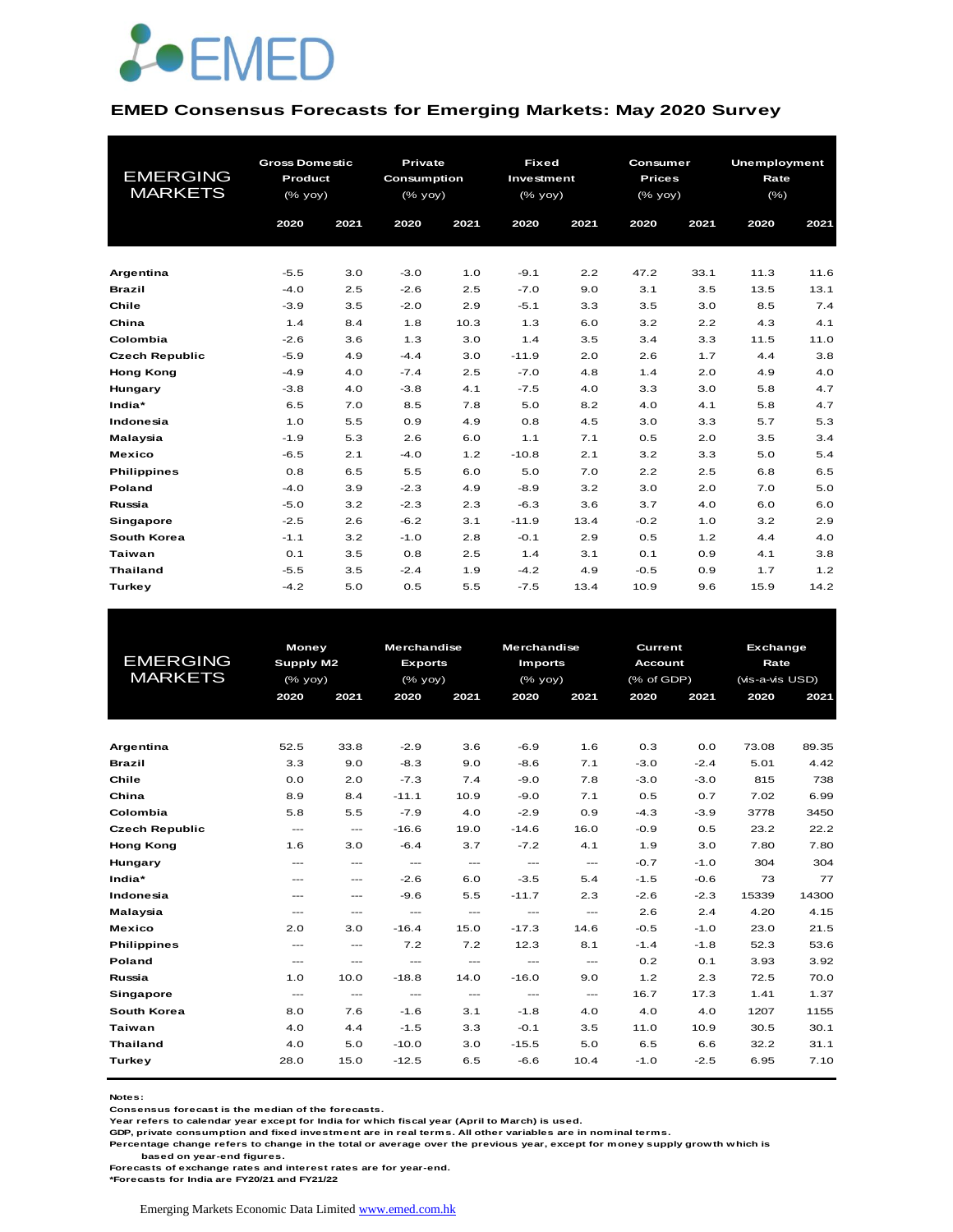

#### **EMED Consensus Forecasts for Emerging Markets: May 2020 Survey**

| <b>EMERGING</b><br><b>MARKETS</b> | <b>Gross Domestic</b><br>Product<br>(% yoy) |      | <b>Private</b><br>Consumption<br>$(%$ (% yoy)<br>2020 | 2021 | <b>Fixed</b><br>Investment<br>$(\%$ yoy)<br>2020 | 2021 | Consumer<br><b>Prices</b><br>$(\%$ yoy)<br>2020 | 2021 | <b>Unemployment</b><br>Rate<br>$(\% )$<br>2020 | 2021 |
|-----------------------------------|---------------------------------------------|------|-------------------------------------------------------|------|--------------------------------------------------|------|-------------------------------------------------|------|------------------------------------------------|------|
|                                   | 2020                                        | 2021 |                                                       |      |                                                  |      |                                                 |      |                                                |      |
|                                   |                                             |      |                                                       |      |                                                  |      |                                                 |      |                                                |      |
| Argentina                         | $-5.5$                                      | 3.0  | $-3.0$                                                | 1.0  | $-9.1$                                           | 2.2  | 47.2                                            | 33.1 | 11.3                                           | 11.6 |
| <b>Brazil</b>                     | $-4.0$                                      | 2.5  | $-2.6$                                                | 2.5  | $-7.0$                                           | 9.0  | 3.1                                             | 3.5  | 13.5                                           | 13.1 |
| Chile                             | $-3.9$                                      | 3.5  | $-2.0$                                                | 2.9  | $-5.1$                                           | 3.3  | 3.5                                             | 3.0  | 8.5                                            | 7.4  |
| China                             | 1.4                                         | 8.4  | 1.8                                                   | 10.3 | 1.3                                              | 6.0  | 3.2                                             | 2.2  | 4.3                                            | 4.1  |
| Colombia                          | $-2.6$                                      | 3.6  | 1.3                                                   | 3.0  | 1.4                                              | 3.5  | 3.4                                             | 3.3  | 11.5                                           | 11.0 |
| <b>Czech Republic</b>             | $-5.9$                                      | 4.9  | $-4.4$                                                | 3.0  | $-11.9$                                          | 2.0  | 2.6                                             | 1.7  | 4.4                                            | 3.8  |
| <b>Hong Kong</b>                  | $-4.9$                                      | 4.0  | $-7.4$                                                | 2.5  | $-7.0$                                           | 4.8  | 1.4                                             | 2.0  | 4.9                                            | 4.0  |
| Hungary                           | $-3.8$                                      | 4.0  | $-3.8$                                                | 4.1  | $-7.5$                                           | 4.0  | 3.3                                             | 3.0  | 5.8                                            | 4.7  |
| India*                            | 6.5                                         | 7.0  | 8.5                                                   | 7.8  | 5.0                                              | 8.2  | 4.0                                             | 4.1  | 5.8                                            | 4.7  |
| Indonesia                         | 1.0                                         | 5.5  | 0.9                                                   | 4.9  | 0.8                                              | 4.5  | 3.0                                             | 3.3  | 5.7                                            | 5.3  |
| Malaysia                          | $-1.9$                                      | 5.3  | 2.6                                                   | 6.0  | 1.1                                              | 7.1  | 0.5                                             | 2.0  | 3.5                                            | 3.4  |
| <b>Mexico</b>                     | $-6.5$                                      | 2.1  | $-4.0$                                                | 1.2  | $-10.8$                                          | 2.1  | 3.2                                             | 3.3  | 5.0                                            | 5.4  |
| <b>Philippines</b>                | 0.8                                         | 6.5  | 5.5                                                   | 6.0  | 5.0                                              | 7.0  | 2.2                                             | 2.5  | 6.8                                            | 6.5  |
| Poland                            | $-4.0$                                      | 3.9  | $-2.3$                                                | 4.9  | $-8.9$                                           | 3.2  | 3.0                                             | 2.0  | 7.0                                            | 5.0  |
| Russia                            | $-5.0$                                      | 3.2  | $-2.3$                                                | 2.3  | $-6.3$                                           | 3.6  | 3.7                                             | 4.0  | 6.0                                            | 6.0  |
| Singapore                         | $-2.5$                                      | 2.6  | $-6.2$                                                | 3.1  | $-11.9$                                          | 13.4 | $-0.2$                                          | 1.0  | 3.2                                            | 2.9  |
| South Korea                       | $-1.1$                                      | 3.2  | $-1.0$                                                | 2.8  | $-0.1$                                           | 2.9  | 0.5                                             | 1.2  | 4.4                                            | 4.0  |
| <b>Taiwan</b>                     | 0.1                                         | 3.5  | 0.8                                                   | 2.5  | 1.4                                              | 3.1  | O.1                                             | 0.9  | 4.1                                            | 3.8  |
| <b>Thailand</b>                   | $-5.5$                                      | 3.5  | $-2.4$                                                | 1.9  | $-4.2$                                           | 4.9  | $-0.5$                                          | 0.9  | 1.7                                            | 1.2  |
| Turkey                            | $-4.2$                                      | 5.0  | 0.5                                                   | 5.5  | $-7.5$                                           | 13.4 | 10.9                                            | 9.6  | 15.9                                           | 14.2 |

|                       | <b>Money</b>           |                          | <b>Merchandise</b>       |               | Merchandise              |                                     | Current        |        | <b>Exchange</b> |       |
|-----------------------|------------------------|--------------------------|--------------------------|---------------|--------------------------|-------------------------------------|----------------|--------|-----------------|-------|
| <b>EMERGING</b>       | Supply M2              |                          | <b>Exports</b>           |               | <b>Imports</b>           |                                     | <b>Account</b> |        | Rate            |       |
| <b>MARKETS</b>        | $(%$ (% yoy)           |                          | $(%$ (% yoy)             |               | (% yoy)                  |                                     | (% of GDP)     |        | (vis-a-vis USD) |       |
|                       | 2020                   | 2021                     | 2020                     | 2021          | 2020                     | 2021                                | 2020           | 2021   | 2020            | 2021  |
|                       |                        |                          |                          |               |                          |                                     |                |        |                 |       |
|                       |                        |                          |                          |               |                          |                                     |                |        |                 |       |
| Argentina             | 52.5                   | 33.8                     | $-2.9$                   | 3.6           | $-6.9$                   | 1.6                                 | 0.3            | 0.0    | 73.08           | 89.35 |
| <b>Brazil</b>         | 3.3                    | 9.0                      | $-8.3$                   | 9.0           | $-8.6$                   | 7.1                                 | $-3.0$         | $-2.4$ | 5.01            | 4.42  |
| Chile                 | 0.0                    | 2.0                      | $-7.3$                   | 7.4           | $-9.0$                   | 7.8                                 | $-3.0$         | $-3.0$ | 815             | 738   |
| China                 | 8.9                    | 8.4                      | $-11.1$                  | 10.9          | $-9.0$                   | 7.1                                 | 0.5            | 0.7    | 7.02            | 6.99  |
| Colombia              | 5.8                    | 5.5                      | $-7.9$                   | 4.0           | $-2.9$                   | 0.9                                 | $-4.3$         | $-3.9$ | 3778            | 3450  |
| <b>Czech Republic</b> | $\qquad \qquad \cdots$ | $\qquad \qquad \cdots$   | $-16.6$                  | 19.0          | $-14.6$                  | 16.0                                | $-0.9$         | 0.5    | 23.2            | 22.2  |
| <b>Hong Kong</b>      | 1.6                    | 3.0                      | $-6.4$                   | 3.7           | $-7.2$                   | 4.1                                 | 1.9            | 3.0    | 7.80            | 7.80  |
| Hungary               | $---$                  | $---$                    | $\hspace{0.05cm} \ldots$ | $\cdots$      | $\hspace{0.05cm} \ldots$ | $\cdots$                            | $-0.7$         | $-1.0$ | 304             | 304   |
| India*                | $---$                  | $\qquad \qquad \cdots$   | $-2.6$                   | 6.0           | $-3.5$                   | 5.4                                 | $-1.5$         | $-0.6$ | 73              | 77    |
| Indonesia             | $---$                  | $---$                    | $-9.6$                   | 5.5           | $-11.7$                  | 2.3                                 | $-2.6$         | $-2.3$ | 15339           | 14300 |
| Malaysia              | $---$                  | $---$                    | $\frac{1}{2}$            | $\frac{1}{2}$ | $\frac{1}{2}$            | $\frac{1}{2}$                       | 2.6            | 2.4    | 4.20            | 4.15  |
| <b>Mexico</b>         | 2.0                    | 3.0                      | $-16.4$                  | 15.0          | $-17.3$                  | 14.6                                | $-0.5$         | $-1.0$ | 23.0            | 21.5  |
| <b>Philippines</b>    | $\qquad \qquad -$      | $\qquad \qquad \cdots$   | 7.2                      | 7.2           | 12.3                     | 8.1                                 | $-1.4$         | $-1.8$ | 52.3            | 53.6  |
| Poland                | $\cdots$               | $\cdots$                 | $\cdots$                 | $\cdots$      | $\cdots$                 | $\hspace{0.05cm}---\hspace{0.05cm}$ | 0.2            | 0.1    | 3.93            | 3.92  |
| Russia                | 1.0                    | 10.0                     | $-18.8$                  | 14.0          | $-16.0$                  | 9.0                                 | 1.2            | 2.3    | 72.5            | 70.0  |
| Singapore             | $\cdots$               | $\hspace{0.05cm} \ldots$ | $\hspace{0.05cm} \ldots$ | $\cdots$      | $\hspace{0.05cm} \ldots$ | $\hspace{0.05cm}---\hspace{0.05cm}$ | 16.7           | 17.3   | 1.41            | 1.37  |
| South Korea           | 8.0                    | 7.6                      | $-1.6$                   | 3.1           | $-1.8$                   | 4.0                                 | 4.0            | 4.0    | 1207            | 1155  |
| Taiwan                | 4.0                    | 4.4                      | $-1.5$                   | 3.3           | $-0.1$                   | 3.5                                 | 11.0           | 10.9   | 30.5            | 30.1  |
| <b>Thailand</b>       | 4.0                    | 5.0                      | $-10.0$                  | 3.0           | $-15.5$                  | 5.0                                 | 6.5            | 6.6    | 32.2            | 31.1  |
| Turkey                | 28.0                   | 15.0                     | $-12.5$                  | 6.5           | $-6.6$                   | 10.4                                | $-1.0$         | $-2.5$ | 6.95            | 7.10  |
|                       |                        |                          |                          |               |                          |                                     |                |        |                 |       |

**Notes:** 

**Consensus forecast is the median of the forecasts.**

**Year refers to calendar year except for India for which fiscal year (April to March) is used.**

**GDP, private consumption and fixed investment are in real terms. All other variables are in nominal terms.**

**Percentage change refers to change in the total or average over the previous year, except for money supply growth which is** 

 **based on year-end figures.**

**Forecasts of exchange rates and interest rates are for year-end.**

**\*Forecasts for India are FY20/21 and FY21/22**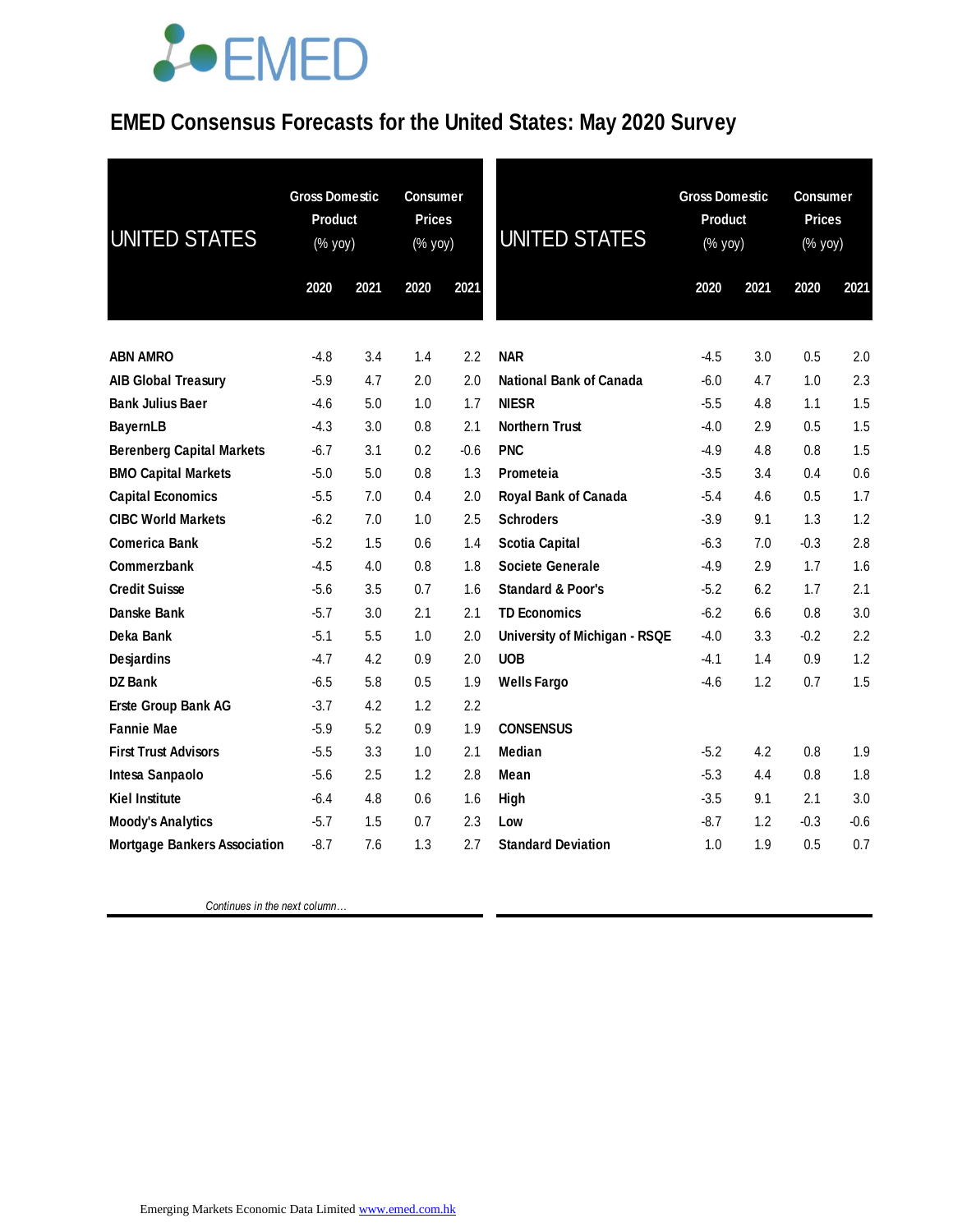# **JOEMED**

### **EMED Consensus Forecasts for the United States: May 2020 Survey**

| UNITED STATES                       | <b>Gross Domestic</b><br>Product<br>(% yoy) |      | <b>Consumer</b><br><b>Prices</b><br>(% yoy) |        | <b>UNITED STATES</b>           |        | <b>Gross Domestic</b><br><b>Product</b><br>$(%$ yoy) |        | <b>Consumer</b><br><b>Prices</b><br>(% yoy) |  |
|-------------------------------------|---------------------------------------------|------|---------------------------------------------|--------|--------------------------------|--------|------------------------------------------------------|--------|---------------------------------------------|--|
|                                     | 2020                                        | 2021 | 2020                                        | 2021   |                                | 2020   | 2021                                                 | 2020   | 2021                                        |  |
| <b>ABN AMRO</b>                     | $-4.8$                                      | 3.4  | 1.4                                         | 2.2    | <b>NAR</b>                     | $-4.5$ | 3.0                                                  | 0.5    | 2.0                                         |  |
| <b>AIB Global Treasury</b>          | $-5.9$                                      | 4.7  | 2.0                                         | 2.0    | <b>National Bank of Canada</b> | $-6.0$ | 4.7                                                  | 1.0    | 2.3                                         |  |
| <b>Bank Julius Baer</b>             | $-4.6$                                      | 5.0  | 1.0                                         | 1.7    | <b>NIESR</b>                   | $-5.5$ | 4.8                                                  | 1.1    | 1.5                                         |  |
| <b>BayernLB</b>                     | $-4.3$                                      | 3.0  | 0.8                                         | 2.1    | <b>Northern Trust</b>          | $-4.0$ | 2.9                                                  | 0.5    | 1.5                                         |  |
| <b>Berenberg Capital Markets</b>    | $-6.7$                                      | 3.1  | 0.2                                         | $-0.6$ | <b>PNC</b>                     | $-4.9$ | 4.8                                                  | 0.8    | 1.5                                         |  |
| <b>BMO Capital Markets</b>          | $-5.0$                                      | 5.0  | 0.8                                         | 1.3    | Prometeia                      | $-3.5$ | 3.4                                                  | 0.4    | 0.6                                         |  |
| <b>Capital Economics</b>            | $-5.5$                                      | 7.0  | 0.4                                         | 2.0    | Royal Bank of Canada           | $-5.4$ | 4.6                                                  | 0.5    | 1.7                                         |  |
| <b>CIBC World Markets</b>           | $-6.2$                                      | 7.0  | 1.0                                         | 2.5    | <b>Schroders</b>               | $-3.9$ | 9.1                                                  | 1.3    | 1.2                                         |  |
| <b>Comerica Bank</b>                | $-5.2$                                      | 1.5  | 0.6                                         | 1.4    | <b>Scotia Capital</b>          | $-6.3$ | 7.0                                                  | $-0.3$ | 2.8                                         |  |
| Commerzbank                         | $-4.5$                                      | 4.0  | 0.8                                         | 1.8    | <b>Societe Generale</b>        | $-4.9$ | 2.9                                                  | 1.7    | 1.6                                         |  |
| <b>Credit Suisse</b>                | $-5.6$                                      | 3.5  | 0.7                                         | 1.6    | <b>Standard &amp; Poor's</b>   | $-5.2$ | 6.2                                                  | 1.7    | 2.1                                         |  |
| Danske Bank                         | $-5.7$                                      | 3.0  | 2.1                                         | 2.1    | <b>TD Economics</b>            | $-6.2$ | 6.6                                                  | 0.8    | 3.0                                         |  |
| Deka Bank                           | $-5.1$                                      | 5.5  | 1.0                                         | 2.0    | University of Michigan - RSQE  | $-4.0$ | 3.3                                                  | $-0.2$ | 2.2                                         |  |
| Desjardins                          | $-4.7$                                      | 4.2  | 0.9                                         | 2.0    | <b>UOB</b>                     | -4.1   | 1.4                                                  | 0.9    | 1.2                                         |  |
| <b>DZ Bank</b>                      | $-6.5$                                      | 5.8  | 0.5                                         | 1.9    | <b>Wells Fargo</b>             | $-4.6$ | 1.2                                                  | 0.7    | 1.5                                         |  |
| <b>Erste Group Bank AG</b>          | $-3.7$                                      | 4.2  | 1.2                                         | 2.2    |                                |        |                                                      |        |                                             |  |
| <b>Fannie Mae</b>                   | $-5.9$                                      | 5.2  | 0.9                                         | 1.9    | <b>CONSENSUS</b>               |        |                                                      |        |                                             |  |
| <b>First Trust Advisors</b>         | $-5.5$                                      | 3.3  | 1.0                                         | 2.1    | Median                         | $-5.2$ | 4.2                                                  | 0.8    | 1.9                                         |  |
| Intesa Sanpaolo                     | $-5.6$                                      | 2.5  | 1.2                                         | 2.8    | Mean                           | $-5.3$ | 4.4                                                  | 0.8    | 1.8                                         |  |
| <b>Kiel Institute</b>               | $-6.4$                                      | 4.8  | 0.6                                         | 1.6    | High                           | $-3.5$ | 9.1                                                  | 2.1    | 3.0                                         |  |
| <b>Moody's Analytics</b>            | $-5.7$                                      | 1.5  | 0.7                                         | 2.3    | Low                            | $-8.7$ | 1.2                                                  | $-0.3$ | $-0.6$                                      |  |
| <b>Mortgage Bankers Association</b> | $-8.7$                                      | 7.6  | 1.3                                         | 2.7    | <b>Standard Deviation</b>      | 1.0    | 1.9                                                  | 0.5    | 0.7                                         |  |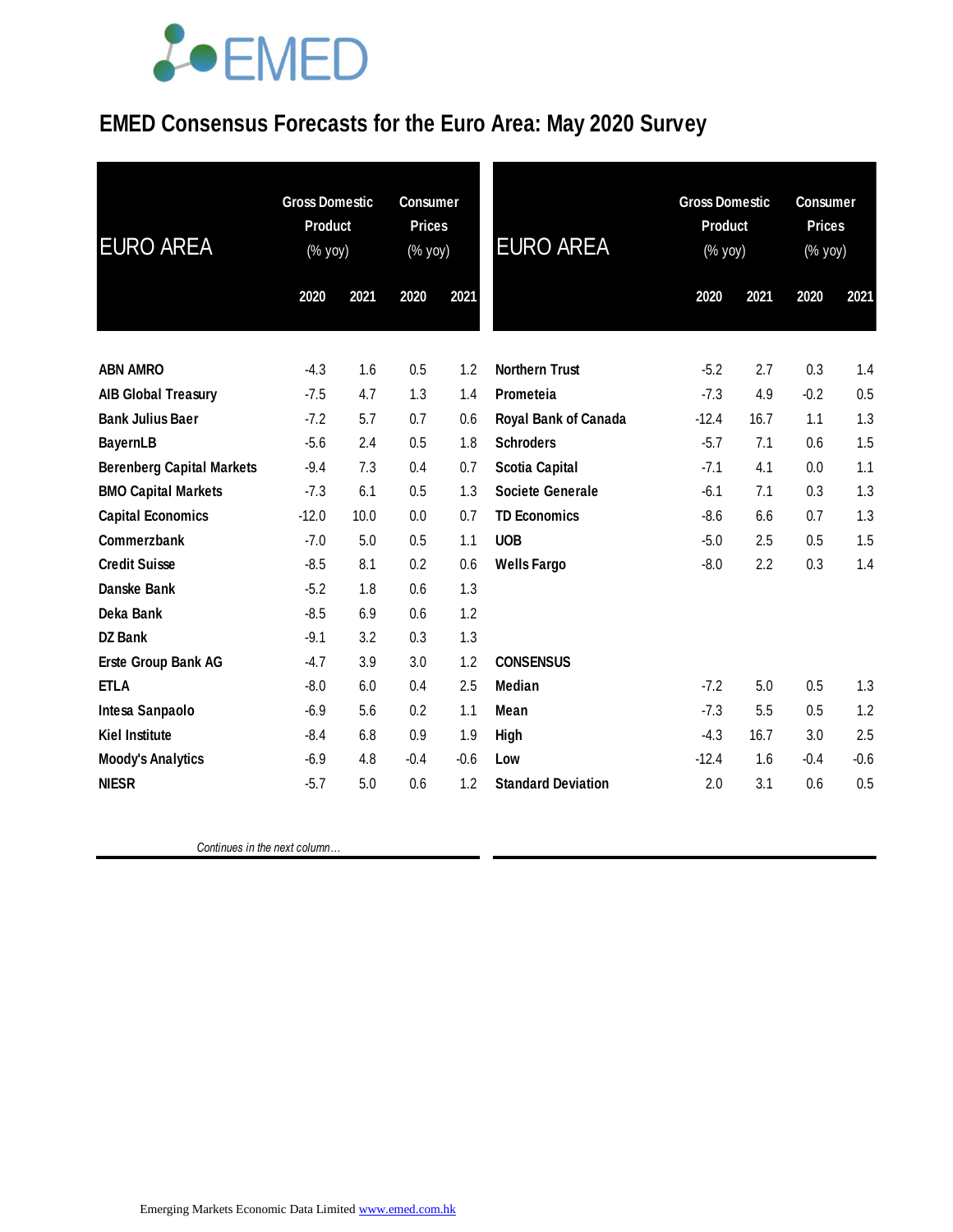## **JOEMED**

### **EMED Consensus Forecasts for the Euro Area: May 2020 Survey**

| <b>EURO AREA</b>                 | <b>Gross Domestic</b><br><b>Product</b><br>(% yoy) |      | <b>Consumer</b><br><b>Prices</b><br>(% yoy) |        | <b>EURO AREA</b>          | <b>Gross Domestic</b><br><b>Product</b><br>(% yoy) |      | <b>Consumer</b><br><b>Prices</b><br>(% yoy) |        |
|----------------------------------|----------------------------------------------------|------|---------------------------------------------|--------|---------------------------|----------------------------------------------------|------|---------------------------------------------|--------|
|                                  | 2020                                               | 2021 | 2020                                        | 2021   |                           | 2020                                               | 2021 | 2020                                        | 2021   |
| <b>ABN AMRO</b>                  | $-4.3$                                             | 1.6  | 0.5                                         | 1.2    | <b>Northern Trust</b>     | $-5.2$                                             | 2.7  | 0.3                                         | 1.4    |
| <b>AIB Global Treasury</b>       | $-7.5$                                             | 4.7  | 1.3                                         | 1.4    | Prometeia                 | $-7.3$                                             | 4.9  | $-0.2$                                      | 0.5    |
| <b>Bank Julius Baer</b>          | $-7.2$                                             | 5.7  | 0.7                                         | 0.6    | Royal Bank of Canada      | $-12.4$                                            | 16.7 | 1.1                                         | 1.3    |
| <b>BayernLB</b>                  | $-5.6$                                             | 2.4  | 0.5                                         | 1.8    | <b>Schroders</b>          | $-5.7$                                             | 7.1  | 0.6                                         | 1.5    |
| <b>Berenberg Capital Markets</b> | $-9.4$                                             | 7.3  | 0.4                                         | 0.7    | <b>Scotia Capital</b>     | $-7.1$                                             | 4.1  | 0.0                                         | 1.1    |
| <b>BMO Capital Markets</b>       | $-7.3$                                             | 6.1  | 0.5                                         | 1.3    | Societe Generale          | $-6.1$                                             | 7.1  | 0.3                                         | 1.3    |
| <b>Capital Economics</b>         | $-12.0$                                            | 10.0 | 0.0                                         | 0.7    | <b>TD Economics</b>       | $-8.6$                                             | 6.6  | 0.7                                         | 1.3    |
| Commerzbank                      | $-7.0$                                             | 5.0  | 0.5                                         | 1.1    | <b>UOB</b>                | $-5.0$                                             | 2.5  | 0.5                                         | 1.5    |
| <b>Credit Suisse</b>             | $-8.5$                                             | 8.1  | 0.2                                         | 0.6    | <b>Wells Fargo</b>        | $-8.0$                                             | 2.2  | 0.3                                         | 1.4    |
| Danske Bank                      | $-5.2$                                             | 1.8  | 0.6                                         | 1.3    |                           |                                                    |      |                                             |        |
| Deka Bank                        | $-8.5$                                             | 6.9  | 0.6                                         | 1.2    |                           |                                                    |      |                                             |        |
| <b>DZ Bank</b>                   | $-9.1$                                             | 3.2  | 0.3                                         | 1.3    |                           |                                                    |      |                                             |        |
| Erste Group Bank AG              | $-4.7$                                             | 3.9  | 3.0                                         | 1.2    | <b>CONSENSUS</b>          |                                                    |      |                                             |        |
| <b>ETLA</b>                      | $-8.0$                                             | 6.0  | 0.4                                         | 2.5    | <b>Median</b>             | $-7.2$                                             | 5.0  | 0.5                                         | 1.3    |
| Intesa Sanpaolo                  | $-6.9$                                             | 5.6  | 0.2                                         | 1.1    | Mean                      | $-7.3$                                             | 5.5  | 0.5                                         | 1.2    |
| <b>Kiel Institute</b>            | $-8.4$                                             | 6.8  | 0.9                                         | 1.9    | High                      | $-4.3$                                             | 16.7 | 3.0                                         | 2.5    |
| <b>Moody's Analytics</b>         | $-6.9$                                             | 4.8  | $-0.4$                                      | $-0.6$ | Low                       | $-12.4$                                            | 1.6  | $-0.4$                                      | $-0.6$ |
| <b>NIESR</b>                     | $-5.7$                                             | 5.0  | 0.6                                         | 1.2    | <b>Standard Deviation</b> | 2.0                                                | 3.1  | 0.6                                         | 0.5    |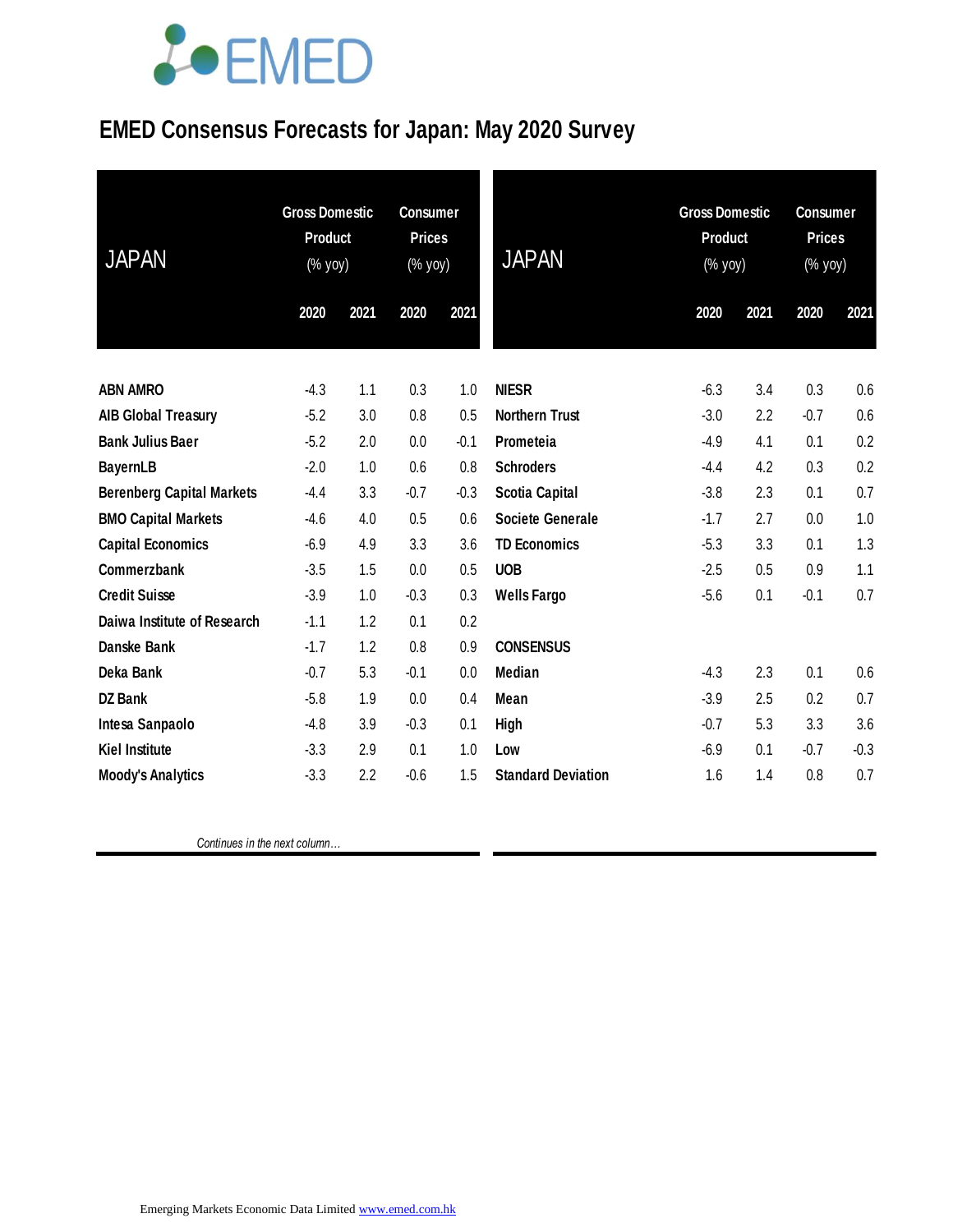## **JOEMED**

### **EMED Consensus Forecasts for Japan: May 2020 Survey**

| <b>JAPAN</b>                     | <b>Gross Domestic</b><br><b>Product</b><br>(% yoy) |      | <b>Consumer</b><br><b>Prices</b><br>(% yoy) |        | <b>JAPAN</b>              | <b>Gross Domestic</b><br>Product<br>(% yoy) |      | <b>Consumer</b><br><b>Prices</b><br>(% yoy) |        |
|----------------------------------|----------------------------------------------------|------|---------------------------------------------|--------|---------------------------|---------------------------------------------|------|---------------------------------------------|--------|
|                                  | 2020                                               | 2021 | 2020                                        | 2021   |                           | 2020                                        | 2021 | 2020                                        | 2021   |
| <b>ABN AMRO</b>                  | $-4.3$                                             | 1.1  | 0.3                                         | 1.0    | <b>NIESR</b>              | $-6.3$                                      | 3.4  | 0.3                                         | 0.6    |
| <b>AIB Global Treasury</b>       | $-5.2$                                             | 3.0  | 0.8                                         | 0.5    | <b>Northern Trust</b>     | $-3.0$                                      | 2.2  | $-0.7$                                      | 0.6    |
| <b>Bank Julius Baer</b>          | $-5.2$                                             | 2.0  | 0.0                                         | $-0.1$ | Prometeia                 | $-4.9$                                      | 4.1  | 0.1                                         | 0.2    |
| <b>BayernLB</b>                  | $-2.0$                                             | 1.0  | 0.6                                         | 0.8    | <b>Schroders</b>          | $-4.4$                                      | 4.2  | 0.3                                         | 0.2    |
| <b>Berenberg Capital Markets</b> | $-4.4$                                             | 3.3  | $-0.7$                                      | $-0.3$ | <b>Scotia Capital</b>     | $-3.8$                                      | 2.3  | 0.1                                         | 0.7    |
| <b>BMO Capital Markets</b>       | $-4.6$                                             | 4.0  | 0.5                                         | 0.6    | <b>Societe Generale</b>   | $-1.7$                                      | 2.7  | 0.0                                         | 1.0    |
| <b>Capital Economics</b>         | $-6.9$                                             | 4.9  | 3.3                                         | 3.6    | <b>TD Economics</b>       | $-5.3$                                      | 3.3  | 0.1                                         | 1.3    |
| Commerzbank                      | $-3.5$                                             | 1.5  | 0.0                                         | 0.5    | <b>UOB</b>                | $-2.5$                                      | 0.5  | 0.9                                         | 1.1    |
| <b>Credit Suisse</b>             | $-3.9$                                             | 1.0  | $-0.3$                                      | 0.3    | <b>Wells Fargo</b>        | $-5.6$                                      | 0.1  | $-0.1$                                      | 0.7    |
| Daiwa Institute of Research      | $-1.1$                                             | 1.2  | 0.1                                         | 0.2    |                           |                                             |      |                                             |        |
| Danske Bank                      | $-1.7$                                             | 1.2  | 0.8                                         | 0.9    | <b>CONSENSUS</b>          |                                             |      |                                             |        |
| Deka Bank                        | $-0.7$                                             | 5.3  | $-0.1$                                      | 0.0    | Median                    | $-4.3$                                      | 2.3  | 0.1                                         | 0.6    |
| <b>DZ Bank</b>                   | $-5.8$                                             | 1.9  | 0.0                                         | 0.4    | Mean                      | $-3.9$                                      | 2.5  | 0.2                                         | 0.7    |
| Intesa Sanpaolo                  | $-4.8$                                             | 3.9  | $-0.3$                                      | 0.1    | High                      | $-0.7$                                      | 5.3  | 3.3                                         | 3.6    |
| <b>Kiel Institute</b>            | $-3.3$                                             | 2.9  | 0.1                                         | 1.0    | Low                       | $-6.9$                                      | 0.1  | $-0.7$                                      | $-0.3$ |
| <b>Moody's Analytics</b>         | $-3.3$                                             | 2.2  | $-0.6$                                      | 1.5    | <b>Standard Deviation</b> | 1.6                                         | 1.4  | 0.8                                         | 0.7    |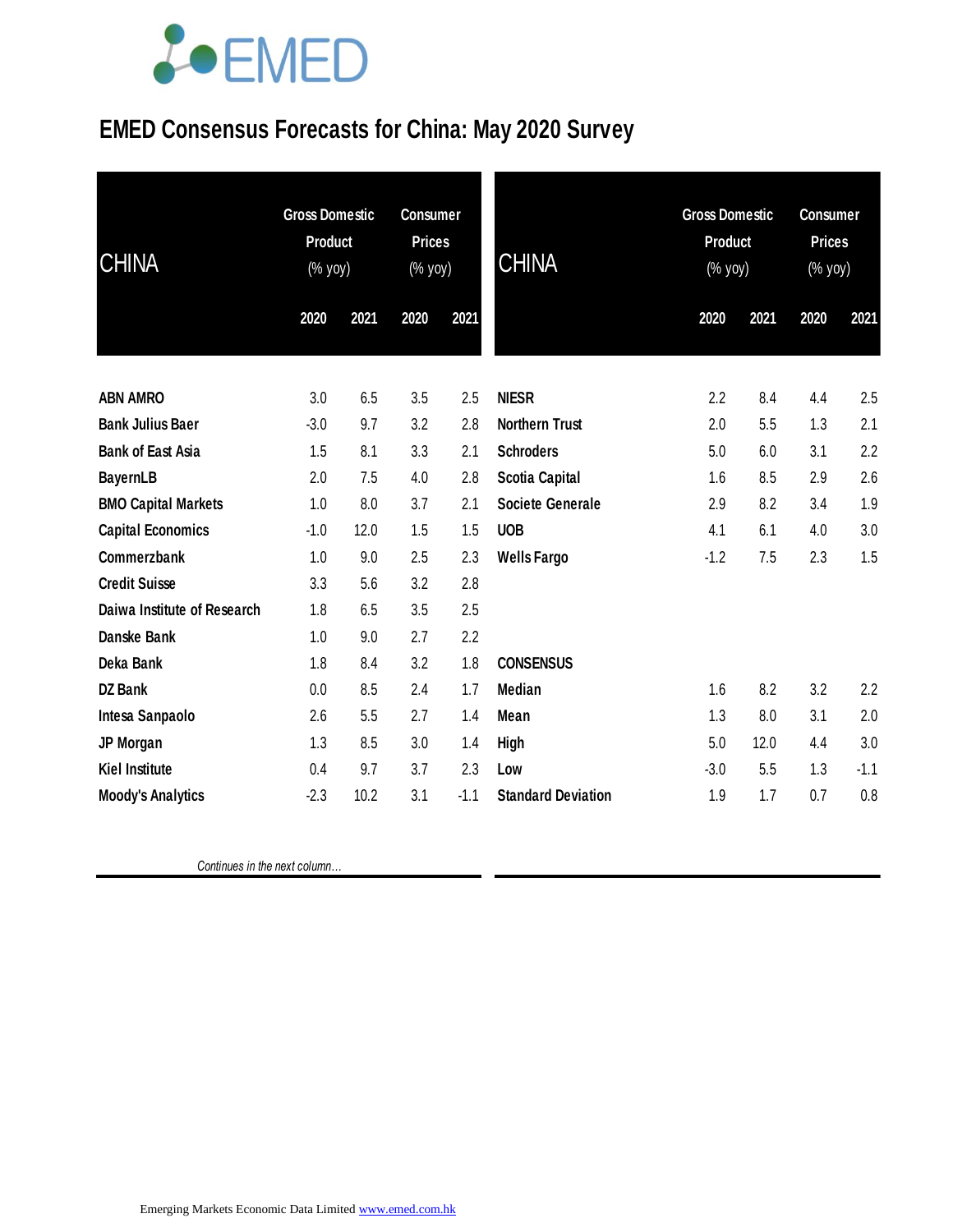

### **EMED Consensus Forecasts for China: May 2020 Survey**

| <b>CHINA</b>                | <b>Gross Domestic</b><br><b>Product</b><br>(% yoy) |      | <b>Consumer</b><br><b>Prices</b><br>(% yoy) |        | <b>CHINA</b>              | <b>Gross Domestic</b><br><b>Product</b><br>(% yoy) |      | <b>Consumer</b><br><b>Prices</b><br>(% yoy) |        |
|-----------------------------|----------------------------------------------------|------|---------------------------------------------|--------|---------------------------|----------------------------------------------------|------|---------------------------------------------|--------|
|                             | 2020                                               | 2021 | 2020                                        | 2021   |                           | 2020                                               | 2021 | 2020                                        | 2021   |
| <b>ABN AMRO</b>             | 3.0                                                | 6.5  | 3.5                                         | 2.5    | <b>NIESR</b>              | 2.2                                                | 8.4  | 4.4                                         | 2.5    |
| <b>Bank Julius Baer</b>     | $-3.0$                                             | 9.7  | 3.2                                         | 2.8    | <b>Northern Trust</b>     | 2.0                                                | 5.5  | 1.3                                         | 2.1    |
| <b>Bank of East Asia</b>    | 1.5                                                | 8.1  | 3.3                                         | 2.1    | <b>Schroders</b>          | 5.0                                                | 6.0  | 3.1                                         | 2.2    |
| <b>BayernLB</b>             | 2.0                                                | 7.5  | 4.0                                         | 2.8    | Scotia Capital            | 1.6                                                | 8.5  | 2.9                                         | 2.6    |
| <b>BMO Capital Markets</b>  | 1.0                                                | 8.0  | 3.7                                         | 2.1    | <b>Societe Generale</b>   | 2.9                                                | 8.2  | 3.4                                         | 1.9    |
| <b>Capital Economics</b>    | $-1.0$                                             | 12.0 | 1.5                                         | 1.5    | <b>UOB</b>                | 4.1                                                | 6.1  | 4.0                                         | 3.0    |
| Commerzbank                 | 1.0                                                | 9.0  | 2.5                                         | 2.3    | <b>Wells Fargo</b>        | $-1.2$                                             | 7.5  | 2.3                                         | 1.5    |
| <b>Credit Suisse</b>        | 3.3                                                | 5.6  | 3.2                                         | 2.8    |                           |                                                    |      |                                             |        |
| Daiwa Institute of Research | 1.8                                                | 6.5  | 3.5                                         | 2.5    |                           |                                                    |      |                                             |        |
| Danske Bank                 | 1.0                                                | 9.0  | 2.7                                         | 2.2    |                           |                                                    |      |                                             |        |
| Deka Bank                   | 1.8                                                | 8.4  | 3.2                                         | 1.8    | <b>CONSENSUS</b>          |                                                    |      |                                             |        |
| <b>DZ Bank</b>              | 0.0                                                | 8.5  | 2.4                                         | 1.7    | Median                    | 1.6                                                | 8.2  | 3.2                                         | 2.2    |
| Intesa Sanpaolo             | 2.6                                                | 5.5  | 2.7                                         | 1.4    | Mean                      | 1.3                                                | 8.0  | 3.1                                         | 2.0    |
| JP Morgan                   | 1.3                                                | 8.5  | 3.0                                         | 1.4    | <b>High</b>               | 5.0                                                | 12.0 | 4.4                                         | 3.0    |
| <b>Kiel Institute</b>       | 0.4                                                | 9.7  | 3.7                                         | 2.3    | Low                       | $-3.0$                                             | 5.5  | 1.3                                         | $-1.1$ |
| <b>Moody's Analytics</b>    | $-2.3$                                             | 10.2 | 3.1                                         | $-1.1$ | <b>Standard Deviation</b> | 1.9                                                | 1.7  | 0.7                                         | 0.8    |